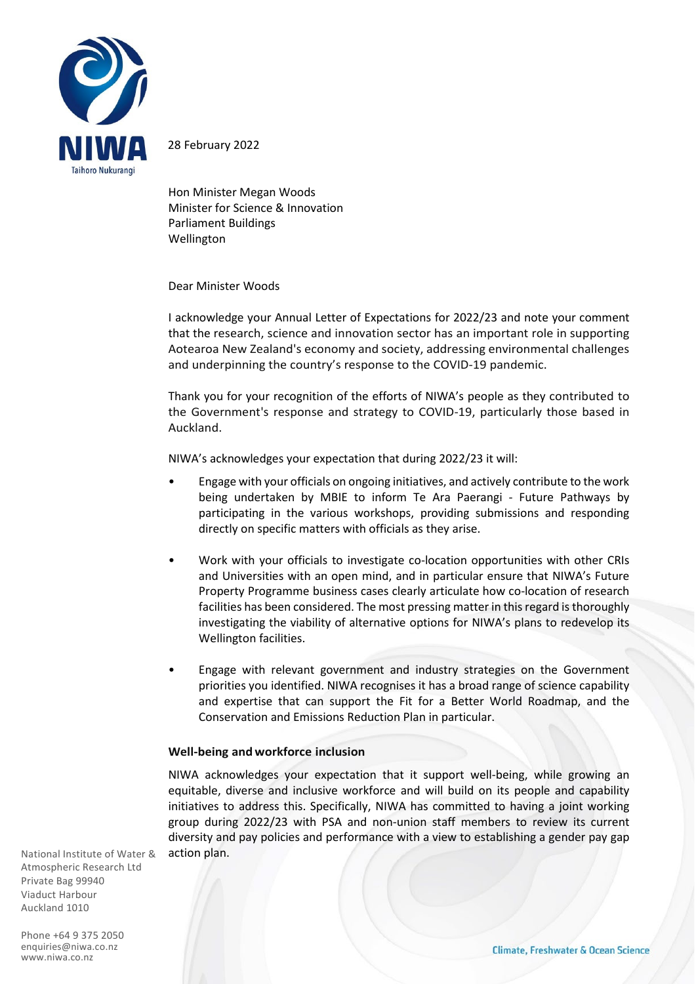

28 February 2022

Hon Minister Megan Woods Minister for Science & Innovation Parliament Buildings Wellington

Dear Minister Woods

I acknowledge your Annual Letter of Expectations for 2022/23 and note your comment that the research, science and innovation sector has an important role in supporting Aotearoa New Zealand's economy and society, addressing environmental challenges and underpinning the country's response to the COVID-19 pandemic.

Thank you for your recognition of the efforts of NIWA's people as they contributed to the Government's response and strategy to COVID-19, particularly those based in Auckland.

NIWA's acknowledges your expectation that during 2022/23 it will:

- Engage with your officials on ongoing initiatives, and actively contribute to the work being undertaken by MBIE to inform Te Ara Paerangi - Future Pathways by participating in the various workshops, providing submissions and responding directly on specific matters with officials as they arise.
- Work with your officials to investigate co-location opportunities with other CRIs and Universities with an open mind, and in particular ensure that NIWA's Future Property Programme business cases clearly articulate how co-location of research facilities has been considered. The most pressing matter in this regard is thoroughly investigating the viability of alternative options for NIWA's plans to redevelop its Wellington facilities.
- Engage with relevant government and industry strategies on the Government priorities you identified. NIWA recognises it has a broad range of science capability and expertise that can support the Fit for a Better World Roadmap, and the Conservation and Emissions Reduction Plan in particular.

### **Well-being and workforce inclusion**

NIWA acknowledges your expectation that it support well-being, while growing an equitable, diverse and inclusive workforce and will build on its people and capability initiatives to address this. Specifically, NIWA has committed to having a joint working group during 2022/23 with PSA and non-union staff members to review its current diversity and pay policies and performance with a view to establishing a gender pay gap action plan.

National Institute of Water & Atmospheric Research Ltd Private Bag 99940 Viaduct Harbour Auckland 1010

Phone +64 9 375 2050 [enquiries@niwa.co.nz](mailto:enquiries@niwa.co,nz) www.niwa.co.nz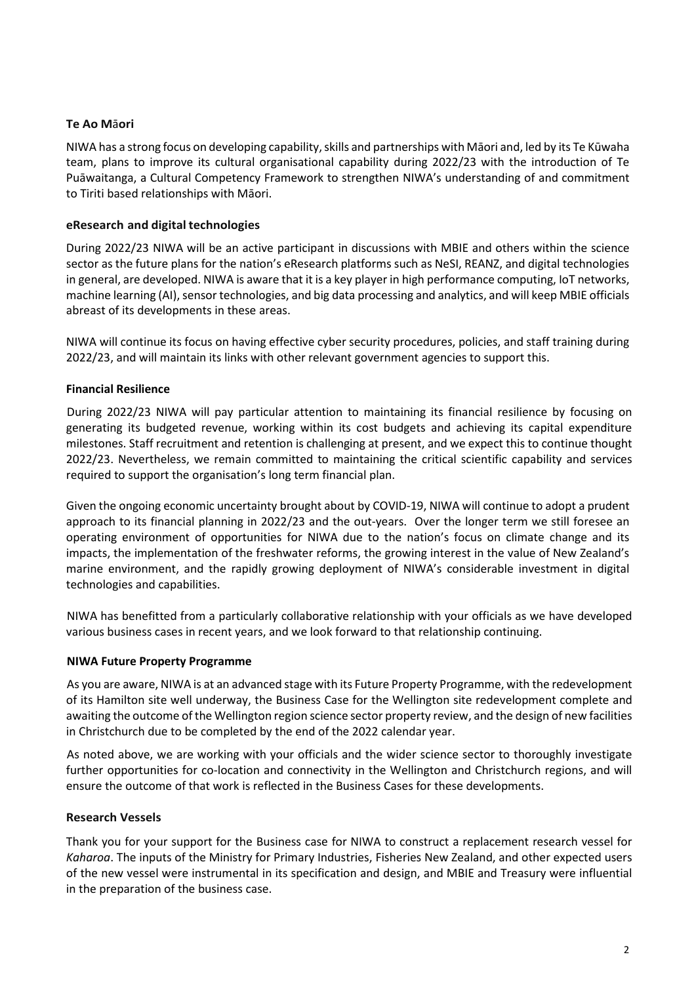# **Te Ao M**ā**ori**

NIWA has a strong focus on developing capability, skills and partnerships with Māori and, led by its Te Kūwaha team, plans to improve its cultural organisational capability during 2022/23 with the introduction of Te Puāwaitanga, a Cultural Competency Framework to strengthen NIWA's understanding of and commitment to Tiriti based relationships with Māori.

## **eResearch and digital technologies**

During 2022/23 NIWA will be an active participant in discussions with MBIE and others within the science sector as the future plans for the nation's eResearch platforms such as NeSI, REANZ, and digital technologies in general, are developed. NIWA is aware that it is a key player in high performance computing, IoT networks, machine learning (AI), sensor technologies, and big data processing and analytics, and will keep MBIE officials abreast of its developments in these areas.

NIWA will continue its focus on having effective cyber security procedures, policies, and staff training during 2022/23, and will maintain its links with other relevant government agencies to support this.

# **Financial Resilience**

During 2022/23 NIWA will pay particular attention to maintaining its financial resilience by focusing on generating its budgeted revenue, working within its cost budgets and achieving its capital expenditure milestones. Staff recruitment and retention is challenging at present, and we expect this to continue thought 2022/23. Nevertheless, we remain committed to maintaining the critical scientific capability and services required to support the organisation's long term financial plan.

Given the ongoing economic uncertainty brought about by COVID-19, NIWA will continue to adopt a prudent approach to its financial planning in 2022/23 and the out-years. Over the longer term we still foresee an operating environment of opportunities for NIWA due to the nation's focus on climate change and its impacts, the implementation of the freshwater reforms, the growing interest in the value of New Zealand's marine environment, and the rapidly growing deployment of NIWA's considerable investment in digital technologies and capabilities.

NIWA has benefitted from a particularly collaborative relationship with your officials as we have developed various business cases in recent years, and we look forward to that relationship continuing.

### **NIWA Future Property Programme**

As you are aware, NIWA is at an advanced stage with its Future Property Programme, with the redevelopment of its Hamilton site well underway, the Business Case for the Wellington site redevelopment complete and awaiting the outcome of the Wellington region science sector property review, and the design of new facilities in Christchurch due to be completed by the end of the 2022 calendar year.

As noted above, we are working with your officials and the wider science sector to thoroughly investigate further opportunities for co-location and connectivity in the Wellington and Christchurch regions, and will ensure the outcome of that work is reflected in the Business Cases for these developments.

### **Research Vessels**

Thank you for your support for the Business case for NIWA to construct a replacement research vessel for *Kaharoa*. The inputs of the Ministry for Primary Industries, Fisheries New Zealand, and other expected users of the new vessel were instrumental in its specification and design, and MBIE and Treasury were influential in the preparation of the business case.